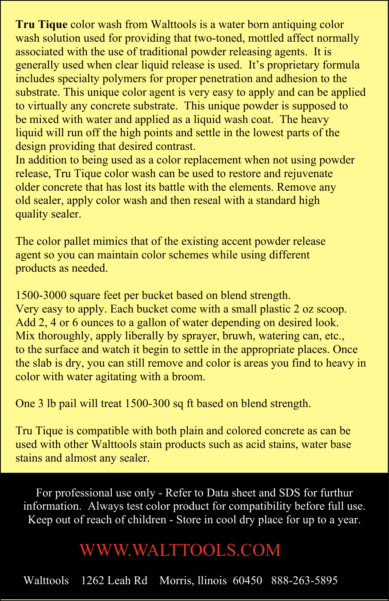**Tru Tique** color wash from Walttools is a water born antiquing color wash solution used for providing that two-toned, mottled affect normally associated with the use of traditional powder releasing agents. It is generally used when clear liquid release is used. It's proprietary formula includes specialty polymers for proper penetration and adhesion to the substrate. This unique color agent is very easy to apply and can be applied to virtually any concrete substrate. This unique powder is supposed to be mixed with water and applied as a liquid wash coat. The heavy liquid will run off the high points and settle in the lowest parts of the design providing that desired contrast.

In addition to being used as a color replacement when not using powder release, Tru Tique color wash can be used to restore and rejuvenate older concrete that has lost its battle with the elements. Remove any old sealer, apply color wash and then reseal with a standard high quality sealer.

The color pallet mimics that of the existing accent powder release agent so you can maintain color schemes while using different products as needed.

1500-3000 square feet per bucket based on blend strength. Very easy to apply. Each bucket come with a small plastic 2 oz scoop. Add 2, 4 or 6 ounces to a gallon of water depending on desired look. Mix thoroughly, apply liberally by sprayer, bruwh, watering can, etc., to the surface and watch it begin to settle in the appropriate places. Once the slab is dry, you can still remove and color is areas you find to heavy in color with water agitating with a broom.

One 3 lb pail will treat 1500-300 sq ft based on blend strength.

Tru Tique is compatible with both plain and colored concrete as can be used with other Walttools stain products such as acid stains, water base stains and almost any sealer.

For professional use only - Refer to Data sheet and SDS for furthur information. Always test color product for compatibility before full use. Keep out of reach of children - Store in cool dry place for up to a year.

## <WWW.WALTTOOLS.COM>

Walttools 1262 Leah Rd Morris, llinois 60450 888-263-5895